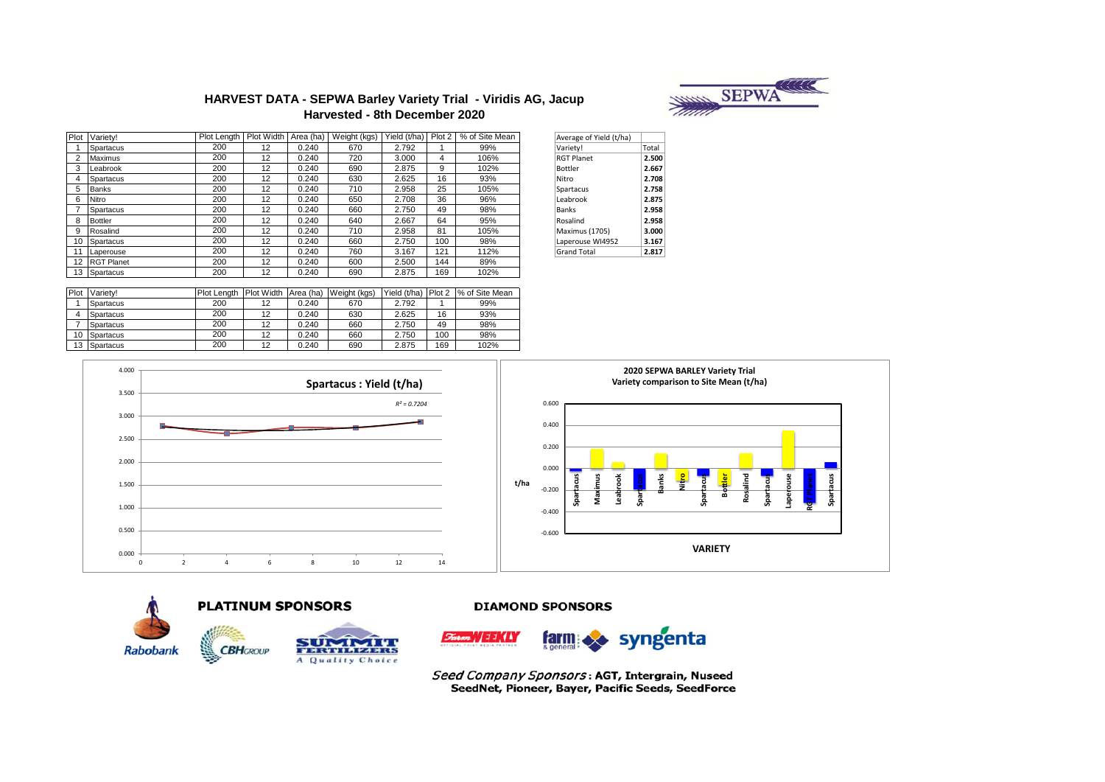

## **HARVEST DATA - SEPWA Barley Variety Trial - Viridis AG, Jacup Harvested - 8th December 2020**

| Plot | Variety!       | Plot Lenath | Plot Width        | Area (ha) | Weight (kgs) | Yield (t/ha) Plot 2 |     | % of Site Mean | Average of Yield (t/ha) |       |
|------|----------------|-------------|-------------------|-----------|--------------|---------------------|-----|----------------|-------------------------|-------|
|      | Spartacus      | 200         | 12                | 0.240     | 670          | 2.792               |     | 99%            | Variety!                | Total |
|      | <b>Maximus</b> | 200         | 12                | 0.240     | 720          | 3.000               | 4   | 106%           | <b>RGT Planet</b>       | 2.500 |
|      | Leabrook       | 200         | $12 \overline{ }$ | 0.240     | 690          | 2.875               | 9   | 102%           | Bottler                 | 2.667 |
|      | Spartacus      | 200         | 12                | 0.240     | 630          | 2.625               | 16  | 93%            | Nitro                   | 2.708 |
| 5    | <b>Banks</b>   | 200         | 12                | 0.240     | 710          | 2.958               | 25  | 105%           | Spartacus               | 2.758 |
|      | Nitro          | 200         | 12                | 0.240     | 650          | 2.708               | 36  | 96%            | Leabrook                | 2.875 |
|      | Spartacus      | 200         | 12                | 0.240     | 660          | 2.750               | 49  | 98%            | Banks                   | 2.958 |
| 8    | Bottler        | 200         | 12                | 0.240     | 640          | 2.667               | 64  | 95%            | Rosalind                | 2.958 |
|      | Rosalind       | 200         | 12                | 0.240     | 710          | 2.958               | 81  | 105%           | Maximus (1705)          | 3.000 |
|      | 10 Spartacus   | 200         | 12                | 0.240     | 660          | 2.750               | 100 | 98%            | Laperouse WI4952        | 3.167 |
|      | Laperouse      | 200         | 12                | 0.240     | 760          | 3.167               | 121 | 112%           | <b>Grand Total</b>      | 2.817 |
|      | 12 RGT Planet  | 200         | 12                | 0.240     | 600          | 2.500               | 144 | 89%            |                         |       |
|      | 13 Spartacus   | 200         | 12                | 0.240     | 690          | 2.875               | 169 | 102%           |                         |       |

| Average of Yield (t/ha) |       |
|-------------------------|-------|
| Variety!                | Total |
| <b>RGT Planet</b>       | 2.500 |
| Bottler                 | 2.667 |
| Nitro                   | 2.708 |
| Spartacus               | 2.758 |
| Leabrook                | 2.875 |
| <b>Banks</b>            | 2.958 |
| Rosalind                | 2.958 |
| Maximus (1705)          | 3.000 |
| Laperouse WI4952        | 3.167 |
| <b>Grand Total</b>      | 2.817 |

| Plot             | Variety!         | Plot Lenath | Plot Width Area (ha) |       | Weight (kgs) | Yield (t/ha) | Plot 2 | % of Site Mean |
|------------------|------------------|-------------|----------------------|-------|--------------|--------------|--------|----------------|
|                  | <b>Spartacus</b> | 200         | 12                   | 0.240 | 670          | 2.792        |        | 99%            |
|                  | <b>Spartacus</b> | 200         | 12                   | 0.240 | 630          | 2.625        | 16     | 93%            |
|                  | <b>Spartacus</b> | 200         | 12                   | 0.240 | 660          | 2.750        | 49     | 98%            |
| 10               | Spartacus        | 200         | 12                   | 0.240 | 660          | 2.750        | 100    | 98%            |
| 13 <sup>13</sup> | Spartacus        | 200         | 12                   | 0.240 | 690          | 2.875        | 169    | 102%           |







**DIAMOND SPONSORS** 



Seed Company Sponsors: AGT, Intergrain, Nuseed SeedNet, Pioneer, Bayer, Pacific Seeds, SeedForce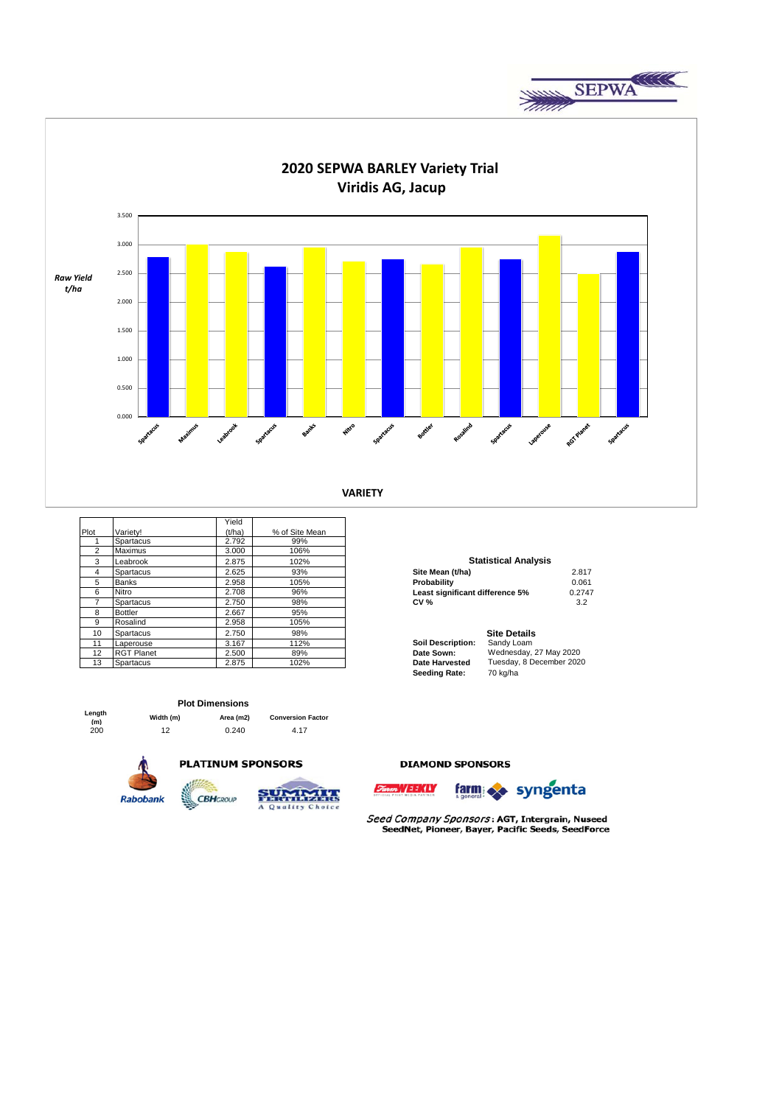



|                |                   | Yield  |                |                                 |                             |        |
|----------------|-------------------|--------|----------------|---------------------------------|-----------------------------|--------|
| Plot           | Varietv!          | (t/ha) | % of Site Mean |                                 |                             |        |
|                | Spartacus         | 2.792  | 99%            |                                 |                             |        |
| $\overline{2}$ | Maximus           | 3.000  | 106%           |                                 |                             |        |
| 3              | Leabrook          | 2.875  | 102%           |                                 | <b>Statistical Analysis</b> |        |
| 4              | Spartacus         | 2.625  | 93%            | Site Mean (t/ha)                |                             | 2.817  |
| 5              | <b>Banks</b>      | 2.958  | 105%           | Probability                     |                             | 0.061  |
| 6              | Nitro             | 2.708  | 96%            | Least significant difference 5% |                             | 0.2747 |
| 7              | Spartacus         | 2.750  | 98%            | <b>CV %</b>                     |                             | 3.2    |
| 8              | <b>Bottler</b>    | 2.667  | 95%            |                                 |                             |        |
| 9              | Rosalind          | 2.958  | 105%           |                                 |                             |        |
| 10             | Spartacus         | 2.750  | 98%            |                                 | <b>Site Details</b>         |        |
| 11             | Laperouse         | 3.167  | 112%           | <b>Soil Description:</b>        | Sandy Loam                  |        |
| 12             | <b>RGT Planet</b> | 2.500  | 89%            | Date Sown:                      | Wednesday, 27 May 2020      |        |
| 13             | Spartacus         | 2.875  | 102%           | Date Harvested                  | Tuesday, 8 December 2020    |        |

| Site Mean (t/ha)                | 2.817  |
|---------------------------------|--------|
| Probability                     | 0.061  |
| Least significant difference 5% | 0.2747 |
| <b>CV %</b>                     | 3.2    |
|                                 |        |
| Sita Dataile                    |        |

|                          | one Detans               |
|--------------------------|--------------------------|
| <b>Soil Description:</b> | Sandy Loam               |
| Date Sown:               | Wednesday, 27 May 2020   |
| <b>Date Harvested</b>    | Tuesday, 8 December 2020 |
| Seeding Rate:            | 70 kg/ha                 |

# **Plot Dimensions**

| :nyur<br>(m) | Width (m) | Area (m2) | <b>Conversion Factor</b> |
|--------------|-----------|-----------|--------------------------|
| 200          | 12        | 0.240     | 4.17                     |



**Length** 





#### **DIAMOND SPONSORS**



Seed Company Sponsors: AGT, Intergrain, Nuseed SeedNet, Pioneer, Bayer, Pacific Seeds, SeedForce